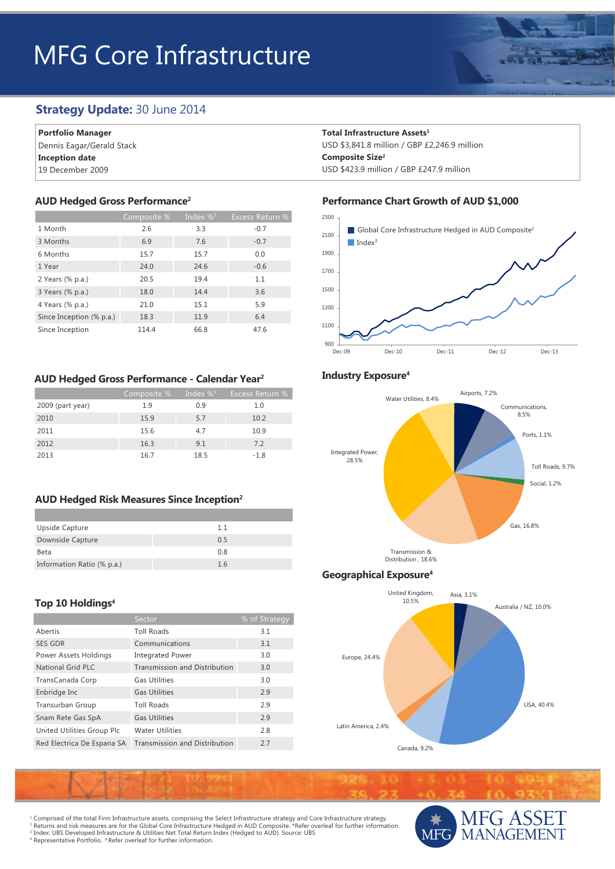# MFG Core Infrastructure

## **Strategy Update:** 30 June 2014

| <b>Portfolio Manager</b>  |  |  |  |
|---------------------------|--|--|--|
| Dennis Eagar/Gerald Stack |  |  |  |
| <b>Inception date</b>     |  |  |  |
| 19 December 2009          |  |  |  |

## **AUD Hedged Gross Performance2**

|                          | Composite % | Index $\%$ <sup>3</sup> | Excess Return % |
|--------------------------|-------------|-------------------------|-----------------|
| 1 Month                  | 2.6         | 3.3                     | $-0.7$          |
| 3 Months                 | 6.9         | 7.6                     | $-0.7$          |
| 6 Months                 | 15.7        | 15.7                    | 0.0             |
| 1 Year                   | 24.0        | 24.6                    | $-0.6$          |
| 2 Years (% p.a.)         | 20.5        | 19.4                    | 1.1             |
| 3 Years (% p.a.)         | 18.0        | 14.4                    | 3.6             |
| 4 Years (% p.a.)         | 21.0        | 15.1                    | 5.9             |
| Since Inception (% p.a.) | 18.3        | 11.9                    | 6.4             |
| Since Inception          | 114.4       | 66.8                    | 47.6            |

#### **AUD Hedged Gross Performance - Calendar Year2**

|                  | Composite % | $\mid$ Index $\%^3$ | Excess Return % |
|------------------|-------------|---------------------|-----------------|
| 2009 (part year) | 1.9         | 0.9                 | 1.0             |
| 2010             | 15.9        | 5.7                 | 10.2            |
| 2011             | 15.6        | 4.7                 | 10.9            |
| 2012             | 16.3        | 9.1                 | 7.2             |
| 2013             | 16.7        | 18.5                | $-1.8$          |

## **AUD Hedged Risk Measures Since Inception2**

| Upside Capture             | 11  |
|----------------------------|-----|
| Downside Capture           | 0.5 |
| Beta                       | 0 R |
| Information Ratio (% p.a.) | 16  |
|                            |     |

## **Top 10 Holdings4**

|                            | Sector                               | % of Strategy |
|----------------------------|--------------------------------------|---------------|
| Abertis                    | <b>Toll Roads</b>                    | 3.1           |
| <b>SES GDR</b>             | Communications                       | 3.1           |
| Power Assets Holdings      | <b>Integrated Power</b>              | 3.0           |
| <b>National Grid PLC</b>   | <b>Transmission and Distribution</b> | 3.0           |
| TransCanada Corp           | <b>Gas Utilities</b>                 | 3.0           |
| Enbridge Inc               | <b>Gas Utilities</b>                 | 2.9           |
| <b>Transurban Group</b>    | <b>Toll Roads</b>                    | 2.9           |
| Snam Rete Gas SpA          | <b>Gas Utilities</b>                 | 2.9           |
| United Utilities Group Plc | <b>Water Utilities</b>               | 2.8           |
| Red Electrica De Espana SA | Transmission and Distribution        | 2.7           |

#### **Total Infrastructure Assets<sup>1</sup>**

USD \$3,841.8 million / GBP £2,246.9 million **Composite Size2** USD \$423.9 million / GBP £247.9 million

#### **Performance Chart Growth of AUD \$1,000**



## **Industry Exposure4**





<sup>1</sup> Comprised of the total Firm Infrastructure assets, comprising the Select Infrastructure strategy and Core Infrastructure strategy.<br><sup>2</sup> Returns and risk measures are for the Global Core Infrastructure Hedged in AUD Comp

<sup>3</sup> Index: UBS Developed Infrastructure & Utilities Net Total Return Index (Hedged to AUD). Source: UBS

4 Representative Portfolio. ^Refer overleaf for further information.

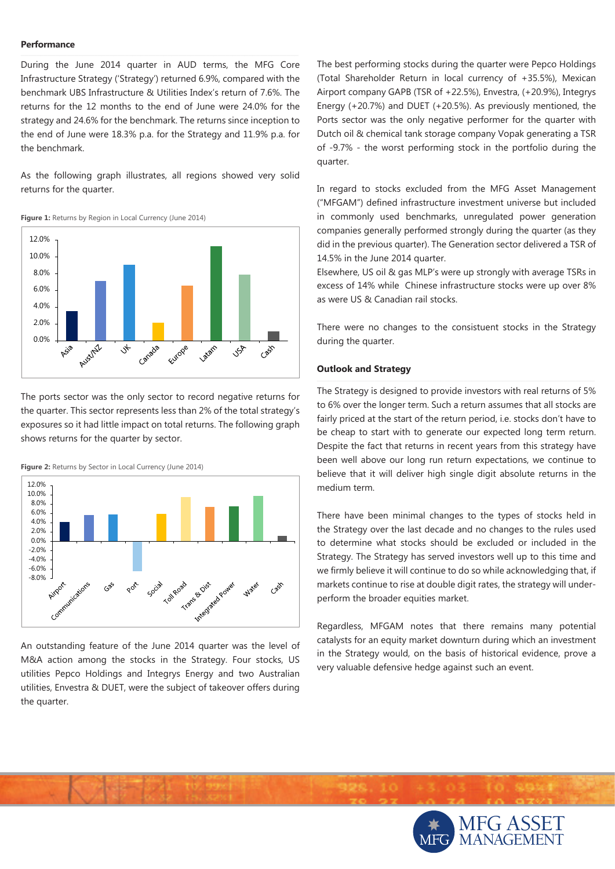#### **Performance**

During the June 2014 quarter in AUD terms, the MFG Core Infrastructure Strategy ('Strategy') returned 6.9%, compared with the benchmark UBS Infrastructure & Utilities Index's return of 7.6%. The returns for the 12 months to the end of June were 24.0% for the strategy and 24.6% for the benchmark. The returns since inception to the end of June were 18.3% p.a. for the Strategy and 11.9% p.a. for the benchmark.

As the following graph illustrates, all regions showed very solid returns for the quarter.

**Figure 1:** Returns by Region in Local Currency (June 2014)



The ports sector was the only sector to record negative returns for the quarter. This sector represents less than 2% of the total strategy's exposures so it had little impact on total returns. The following graph shows returns for the quarter by sector.





An outstanding feature of the June 2014 quarter was the level of M&A action among the stocks in the Strategy. Four stocks, US utilities Pepco Holdings and Integrys Energy and two Australian utilities, Envestra & DUET, were the subject of takeover offers during the quarter.

The best performing stocks during the quarter were Pepco Holdings (Total Shareholder Return in local currency of +35.5%), Mexican Airport company GAPB (TSR of +22.5%), Envestra, (+20.9%), Integrys Energy (+20.7%) and DUET (+20.5%). As previously mentioned, the Ports sector was the only negative performer for the quarter with Dutch oil & chemical tank storage company Vopak generating a TSR of -9.7% - the worst performing stock in the portfolio during the quarter.

In regard to stocks excluded from the MFG Asset Management ("MFGAM") defined infrastructure investment universe but included in commonly used benchmarks, unregulated power generation companies generally performed strongly during the quarter (as they did in the previous quarter). The Generation sector delivered a TSR of 14.5% in the June 2014 quarter.

Elsewhere, US oil & gas MLP's were up strongly with average TSRs in excess of 14% while Chinese infrastructure stocks were up over 8% as were US & Canadian rail stocks.

There were no changes to the consistuent stocks in the Strategy during the quarter.

#### **Outlook and Strategy**  $\mathcal{L}_\text{max}$  , and the set of the set of the set of the set of the set of the set of the set of the set of the set of the set of the set of the set of the set of the set of the set of the set of the set of the set of the

The Strategy is designed to provide investors with real returns of 5% to 6% over the longer term. Such a return assumes that all stocks are fairly priced at the start of the return period, i.e. stocks don't have to be cheap to start with to generate our expected long term return. Despite the fact that returns in recent years from this strategy have been well above our long run return expectations, we continue to believe that it will deliver high single digit absolute returns in the medium term.

There have been minimal changes to the types of stocks held in the Strategy over the last decade and no changes to the rules used to determine what stocks should be excluded or included in the Strategy. The Strategy has served investors well up to this time and we firmly believe it will continue to do so while acknowledging that, if markets continue to rise at double digit rates, the strategy will underperform the broader equities market.

Regardless, MFGAM notes that there remains many potential catalysts for an equity market downturn during which an investment in the Strategy would, on the basis of historical evidence, prove a very valuable defensive hedge against such an event.